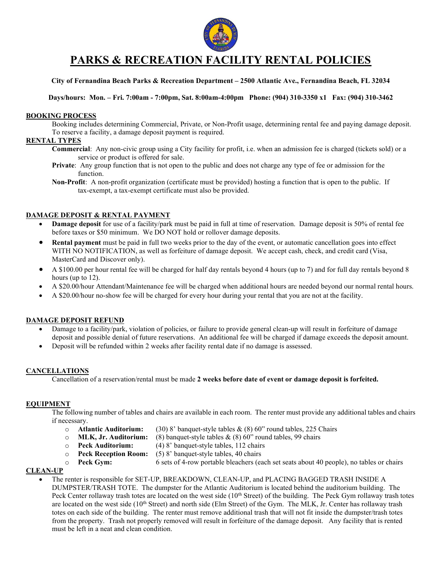

# PARKS & RECREATION FACILITY RENTAL POLICIES

### City of Fernandina Beach Parks & Recreation Department – 2500 Atlantic Ave., Fernandina Beach, FL 32034

Days/hours: Mon. – Fri. 7:00am - 7:00pm, Sat. 8:00am-4:00pm Phone: (904) 310-3350 x1 Fax: (904) 310-3462

### BOOKING PROCESS

Booking includes determining Commercial, Private, or Non-Profit usage, determining rental fee and paying damage deposit. To reserve a facility, a damage deposit payment is required.

### RENTAL TYPES

- Commercial: Any non-civic group using a City facility for profit, i.e. when an admission fee is charged (tickets sold) or a service or product is offered for sale.
- Private: Any group function that is not open to the public and does not charge any type of fee or admission for the function.
- Non-Profit: A non-profit organization (certificate must be provided) hosting a function that is open to the public. If tax-exempt, a tax-exempt certificate must also be provided.

### DAMAGE DEPOSIT & RENTAL PAYMENT

- Damage deposit for use of a facility/park must be paid in full at time of reservation. Damage deposit is 50% of rental fee before taxes or \$50 minimum. We DO NOT hold or rollover damage deposits.
- Rental payment must be paid in full two weeks prior to the day of the event, or automatic cancellation goes into effect WITH NO NOTIFICATION, as well as forfeiture of damage deposit. We accept cash, check, and credit card (Visa, MasterCard and Discover only).
- A \$100.00 per hour rental fee will be charged for half day rentals beyond 4 hours (up to 7) and for full day rentals beyond 8 hours (up to 12).
- A \$20.00/hour Attendant/Maintenance fee will be charged when additional hours are needed beyond our normal rental hours.
- A \$20.00/hour no-show fee will be charged for every hour during your rental that you are not at the facility.

### DAMAGE DEPOSIT REFUND

- Damage to a facility/park, violation of policies, or failure to provide general clean-up will result in forfeiture of damage deposit and possible denial of future reservations. An additional fee will be charged if damage exceeds the deposit amount.
- Deposit will be refunded within 2 weeks after facility rental date if no damage is assessed.

### CANCELLATIONS

Cancellation of a reservation/rental must be made 2 weeks before date of event or damage deposit is forfeited.

### EQUIPMENT

The following number of tables and chairs are available in each room. The renter must provide any additional tables and chairs if necessary.

- o **Atlantic Auditorium:** (30) 8' banquet-style tables  $\&$  (8) 60" round tables, 225 Chairs <br>o **MLK, Jr. Auditorium:** (8) banquet-style tables  $\&$  (8) 60" round tables, 99 chairs
	- (8) banquet-style tables  $\&$  (8) 60" round tables, 99 chairs
- o Peck Auditorium: (4) 8' banquet-style tables, 112 chairs
- o Peck Reception Room: (5) 8' banquet-style tables, 40 chairs
- $\circ$  **Peck Gym:** 6 sets of 4-row portable bleachers (each set seats about 40 people), no tables or chairs

### CLEAN-UP

 The renter is responsible for SET-UP, BREAKDOWN, CLEAN-UP, and PLACING BAGGED TRASH INSIDE A DUMPSTER/TRASH TOTE. The dumpster for the Atlantic Auditorium is located behind the auditorium building. The Peck Center rollaway trash totes are located on the west side (10<sup>th</sup> Street) of the building. The Peck Gym rollaway trash totes are located on the west side (10<sup>th</sup> Street) and north side (Elm Street) of the Gym. The MLK, Jr. Center has rollaway trash totes on each side of the building. The renter must remove additional trash that will not fit inside the dumpster/trash totes from the property. Trash not properly removed will result in forfeiture of the damage deposit. Any facility that is rented must be left in a neat and clean condition.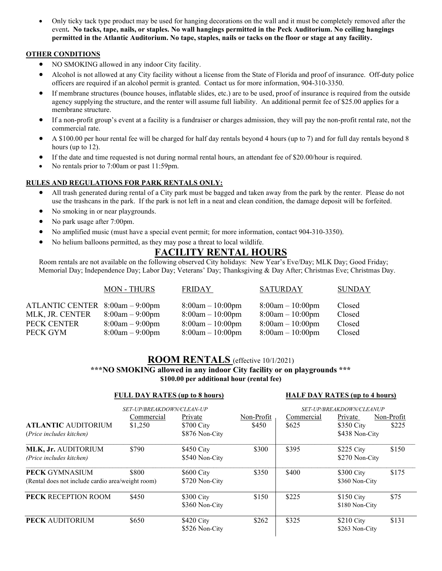Only ticky tack type product may be used for hanging decorations on the wall and it must be completely removed after the event. No tacks, tape, nails, or staples. No wall hangings permitted in the Peck Auditorium. No ceiling hangings permitted in the Atlantic Auditorium. No tape, staples, nails or tacks on the floor or stage at any facility.

### OTHER CONDITIONS

- NO SMOKING allowed in any indoor City facility.
- Alcohol is not allowed at any City facility without a license from the State of Florida and proof of insurance. Off-duty police officers are required if an alcohol permit is granted. Contact us for more information, 904-310-3350.
- If membrane structures (bounce houses, inflatable slides, etc.) are to be used, proof of insurance is required from the outside agency supplying the structure, and the renter will assume full liability. An additional permit fee of \$25.00 applies for a membrane structure.
- If a non-profit group's event at a facility is a fundraiser or charges admission, they will pay the non-profit rental rate, not the commercial rate.
- A \$100.00 per hour rental fee will be charged for half day rentals beyond 4 hours (up to 7) and for full day rentals beyond 8 hours (up to 12).
- If the date and time requested is not during normal rental hours, an attendant fee of \$20.00/hour is required.
- No rentals prior to 7:00am or past 11:59pm.

### RULES AND REGULATIONS FOR PARK RENTALS ONLY:

- All trash generated during rental of a City park must be bagged and taken away from the park by the renter. Please do not use the trashcans in the park. If the park is not left in a neat and clean condition, the damage deposit will be forfeited.
- No smoking in or near playgrounds.
- No park usage after 7:00pm.
- No amplified music (must have a special event permit; for more information, contact 904-310-3350).
- No helium balloons permitted, as they may pose a threat to local wildlife.

# FACILITY RENTAL HOURS

Room rentals are not available on the following observed City holidays: New Year's Eve/Day; MLK Day; Good Friday; Memorial Day; Independence Day; Labor Day; Veterans' Day; Thanksgiving & Day After; Christmas Eve; Christmas Day.

|                                 | <b>MON - THURS</b> | <b>FRIDAY</b>      | <b>SATURDAY</b>    | <b>SUNDAY</b> |
|---------------------------------|--------------------|--------------------|--------------------|---------------|
| ATLANTIC CENTER 8:00am - 9:00pm |                    | $8:00am - 10:00pm$ | $8:00am - 10:00pm$ | Closed        |
| MLK, JR. CENTER                 | $8:00am - 9:00pm$  | $8:00am - 10:00pm$ | $8:00am - 10:00pm$ | Closed        |
| PECK CENTER                     | $8:00am - 9:00pm$  | $8:00am - 10:00pm$ | $8:00am - 10:00pm$ | Closed        |
| PECK GYM                        | $8:00am - 9:00pm$  | $8:00am - 10:00pm$ | $8:00am - 10:00pm$ | Closed        |

### ROOM RENTALS (effective 10/1/2021) \*\*\*NO SMOKING allowed in any indoor City facility or on playgrounds \*\*\* \$100.00 per additional hour (rental fee)

### FULL DAY RATES (up to 8 hours) HALF DAY RATES (up to 4 hours)

|                                                                            | SET-UP/BREAKDOWN/CLEAN-UP |                                         |                     | SET-UP/BREAKDOWN/CLEANUP |                                         |                     |
|----------------------------------------------------------------------------|---------------------------|-----------------------------------------|---------------------|--------------------------|-----------------------------------------|---------------------|
| <b>ATLANTIC AUDITORIUM</b><br>(Price includes kitchen)                     | Commercial<br>\$1,250     | Private<br>\$700 City<br>\$876 Non-City | Non-Profit<br>\$450 | Commercial<br>\$625      | Private<br>\$350 City<br>\$438 Non-City | Non-Profit<br>\$225 |
| MLK, Jr. AUDITORIUM<br>(Price includes kitchen)                            | \$790                     | \$450 City<br>\$540 Non-City            | \$300               | \$395                    | $$225$ City<br>\$270 Non-City           | \$150               |
| <b>PECK GYMNASIUM</b><br>(Rental does not include cardio area/weight room) | \$800                     | \$600 City<br>\$720 Non-City            | \$350               | \$400                    | \$300 City<br>\$360 Non-City            | \$175               |
| <b>PECK RECEPTION ROOM</b>                                                 | \$450                     | \$300 City<br>\$360 Non-City            | \$150               | \$225                    | \$150 City<br>\$180 Non-City            | \$75                |
| PECK AUDITORIUM                                                            | \$650                     | \$420 City<br>\$526 Non-City            | \$262               | \$325                    | $$210$ City<br>\$263 Non-City           | \$131               |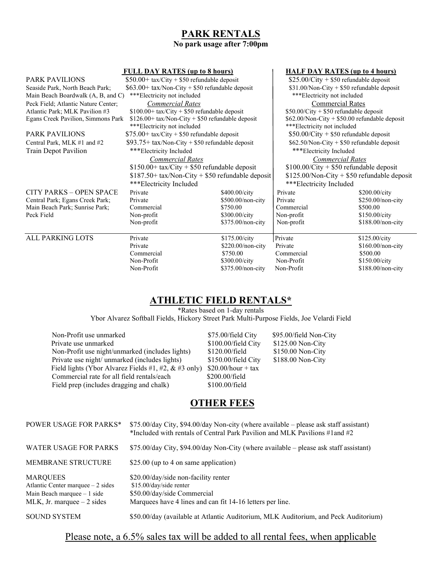# PARK RENTALS

## No park usage after 7:00pm

### FULL DAY RATES (up to 8 hours) HALF DAY RATES (up to 4 hours)

| <b>PARK PAVILIONS</b>                                             | $$50.00+$ tax/City + \$50 refundable deposit     |                     | $$25.00/City + $50$ refundable deposit          |                         |  |  |
|-------------------------------------------------------------------|--------------------------------------------------|---------------------|-------------------------------------------------|-------------------------|--|--|
| Seaside Park, North Beach Park;                                   | $$63.00+$ tax/Non-City + \$50 refundable deposit |                     | $$31.00/N$ on-City + \$50 refundable deposit    |                         |  |  |
| ***Electricity not included<br>Main Beach Boardwalk (A, B, and C) |                                                  |                     | ***Electricity not included                     |                         |  |  |
| Peck Field; Atlantic Nature Center;                               | <b>Commercial Rates</b>                          |                     |                                                 | <b>Commercial Rates</b> |  |  |
| Atlantic Park; MLK Pavilion #3                                    | $$100.00+$ tax/City + \$50 refundable deposit    |                     | $$50.00/City + $50$ refundable deposit          |                         |  |  |
| Egans Creek Pavilion, Simmons Park                                | \$126.00+ tax/Non-City + \$50 refundable deposit |                     | $$62.00/N$ on-City + \$50.00 refundable deposit |                         |  |  |
|                                                                   | ***Electricity not included                      |                     | ***Electricity not included                     |                         |  |  |
| <b>PARK PAVILIONS</b>                                             | $$75.00+$ tax/City + \$50 refundable deposit     |                     | $$50.00/C$ ity + \$50 refundable deposit        |                         |  |  |
| Central Park, MLK #1 and #2                                       | $$93.75+$ tax/Non-City + \$50 refundable deposit |                     | $$62.50/N$ on-City + \$50 refundable deposit    |                         |  |  |
| Train Depot Pavilion                                              | ***Electricity Included                          |                     | ***Electricity Included                         |                         |  |  |
|                                                                   | <b>Commercial Rates</b>                          |                     | <b>Commercial Rates</b>                         |                         |  |  |
|                                                                   | $$150.00+$ tax/City + \$50 refundable deposit    |                     | $$100.00/City + $50$ refundable deposit         |                         |  |  |
|                                                                   | \$187.50+ tax/Non-City + \$50 refundable deposit |                     | $$125.00/N$ on-City + \$50 refundable deposit   |                         |  |  |
|                                                                   | ***Electricity Included                          |                     | ***Electricity Included                         |                         |  |  |
| <b>CITY PARKS - OPEN SPACE</b>                                    | Private                                          | \$400.00/city       | Private                                         | \$200.00/city           |  |  |
| Central Park; Egans Creek Park;                                   | Private                                          | $$500.00$ /non-city | Private                                         | $$250.00$ /non-city     |  |  |
| Main Beach Park; Sunrise Park;                                    | Commercial                                       | \$750.00            | Commercial                                      | \$500.00                |  |  |
| Peck Field                                                        | Non-profit                                       | \$300.00/city       | Non-profit                                      | \$150.00/city           |  |  |
|                                                                   | Non-profit                                       | \$375.00/non-city   | Non-profit                                      | \$188.00/non-city       |  |  |
|                                                                   |                                                  |                     |                                                 |                         |  |  |
| <b>ALL PARKING LOTS</b>                                           | Private                                          | \$175.00/city       | Private                                         | \$125.00/city           |  |  |
|                                                                   | Private                                          | $$220.00$ /non-city | Private                                         | $$160.00$ /non-city     |  |  |
|                                                                   | Commercial                                       | \$750.00            | Commercial                                      | \$500.00                |  |  |
|                                                                   | Non-Profit                                       | \$300.00/city       | Non-Profit                                      | \$150.00/city           |  |  |
|                                                                   | Non-Profit                                       | \$375.00/non-city   | Non-Profit                                      | \$188.00/non-city       |  |  |

# ATHLETIC FIELD RENTALS\*

\*Rates based on 1-day rentals

Ybor Alvarez Softball Fields, Hickory Street Park Multi-Purpose Fields, Joe Velardi Field

| Non-Profit use unmarked                                 | \$75.00/field City    | \$95.00/field Non-City |
|---------------------------------------------------------|-----------------------|------------------------|
| Private use unmarked                                    | \$100.00/field City   | \$125.00 Non-City      |
| Non-Profit use night/unmarked (includes lights)         | \$120.00/field        | $$150.00$ Non-City     |
| Private use night/ unmarked (includes lights)           | $$150.00$ /field City | \$188.00 Non-City      |
| Field lights (Ybor Alvarez Fields #1, #2, $\&$ #3 only) | $$20.00/hour + tax$   |                        |
| Commercial rate for all field rentals/each              | \$200.00/field        |                        |
| Field prep (includes dragging and chalk)                | \$100.00/field        |                        |

# **OTHER FEES**

| <b>POWER USAGE FOR PARKS*</b>                                                                                        | $$75.00/day$ City, \$94.00/day Non-city (where available – please ask staff assistant)<br>*Included with rentals of Central Park Pavilion and MLK Pavilions $\#1$ and $\#2$ |
|----------------------------------------------------------------------------------------------------------------------|-----------------------------------------------------------------------------------------------------------------------------------------------------------------------------|
| WATER USAGE FOR PARKS                                                                                                | $$75.00/day$ City, \$94.00/day Non-City (where available – please ask staff assistant)                                                                                      |
| <b>MEMBRANE STRUCTURE</b>                                                                                            | \$25.00 (up to 4 on same application)                                                                                                                                       |
| <b>MARQUEES</b><br>Atlantic Center marquee $-2$ sides<br>Main Beach marquee $-1$ side<br>MLK, Jr. marquee $-2$ sides | \$20.00/day/side non-facility renter<br>\$15.00/day/side renter<br>\$50.00/day/side Commercial<br>Marquees have 4 lines and can fit 14-16 letters per line.                 |
| <b>SOUND SYSTEM</b>                                                                                                  | \$50.00/day (available at Atlantic Auditorium, MLK Auditorium, and Peck Auditorium)                                                                                         |

# Please note, a 6.5% sales tax will be added to all rental fees, when applicable